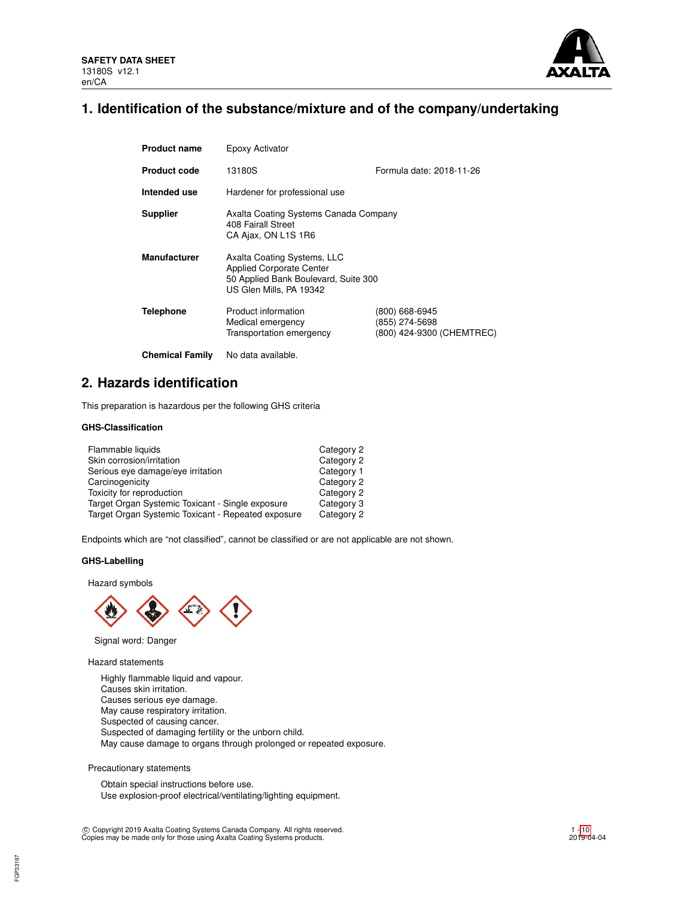

# **1. Identification of the substance/mixture and of the company/undertaking**

| <b>Product name</b>    | Epoxy Activator                                                                                                                   |                                                               |  |  |  |
|------------------------|-----------------------------------------------------------------------------------------------------------------------------------|---------------------------------------------------------------|--|--|--|
| <b>Product code</b>    | 13180S                                                                                                                            | Formula date: 2018-11-26                                      |  |  |  |
| Intended use           | Hardener for professional use                                                                                                     |                                                               |  |  |  |
| <b>Supplier</b>        | Axalta Coating Systems Canada Company<br>408 Fairall Street<br>CA Ajax, ON L1S 1R6                                                |                                                               |  |  |  |
| <b>Manufacturer</b>    | Axalta Coating Systems, LLC<br><b>Applied Corporate Center</b><br>50 Applied Bank Boulevard, Suite 300<br>US Glen Mills, PA 19342 |                                                               |  |  |  |
| <b>Telephone</b>       | Product information<br>Medical emergency<br>Transportation emergency                                                              | (800) 668-6945<br>(855) 274-5698<br>(800) 424-9300 (CHEMTREC) |  |  |  |
| <b>Chemical Family</b> | No data available.                                                                                                                |                                                               |  |  |  |

# **2. Hazards identification**

This preparation is hazardous per the following GHS criteria

# **GHS-Classification**

| Flammable liquids                                  | Category 2 |
|----------------------------------------------------|------------|
| Skin corrosion/irritation                          | Category 2 |
| Serious eye damage/eye irritation                  | Category 1 |
| Carcinogenicity                                    | Category 2 |
| Toxicity for reproduction                          | Category 2 |
| Target Organ Systemic Toxicant - Single exposure   | Category 3 |
| Target Organ Systemic Toxicant - Repeated exposure | Category 2 |

Endpoints which are "not classified", cannot be classified or are not applicable are not shown.

# **GHS-Labelling**

Hazard symbols



Signal word: Danger

Hazard statements

Highly flammable liquid and vapour. Causes skin irritation. Causes serious eye damage. May cause respiratory irritation. Suspected of causing cancer. Suspected of damaging fertility or the unborn child. May cause damage to organs through prolonged or repeated exposure.

Precautionary statements

FGP33197

Obtain special instructions before use. Use explosion-proof electrical/ventilating/lighting equipment.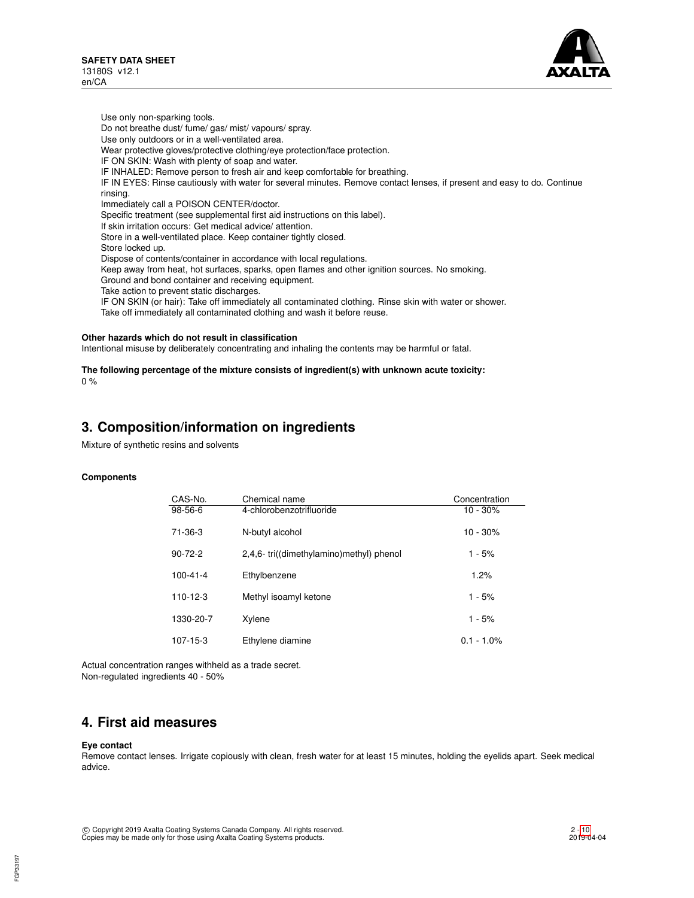

Use only non-sparking tools. Do not breathe dust/ fume/ gas/ mist/ vapours/ spray. Use only outdoors or in a well-ventilated area. Wear protective gloves/protective clothing/eye protection/face protection. IF ON SKIN: Wash with plenty of soap and water. IF INHALED: Remove person to fresh air and keep comfortable for breathing. IF IN EYES: Rinse cautiously with water for several minutes. Remove contact lenses, if present and easy to do. Continue rinsing. Immediately call a POISON CENTER/doctor. Specific treatment (see supplemental first aid instructions on this label). If skin irritation occurs: Get medical advice/ attention. Store in a well-ventilated place. Keep container tightly closed. Store locked up. Dispose of contents/container in accordance with local regulations. Keep away from heat, hot surfaces, sparks, open flames and other ignition sources. No smoking. Ground and bond container and receiving equipment. Take action to prevent static discharges. IF ON SKIN (or hair): Take off immediately all contaminated clothing. Rinse skin with water or shower. Take off immediately all contaminated clothing and wash it before reuse.

#### **Other hazards which do not result in classification**

Intentional misuse by deliberately concentrating and inhaling the contents may be harmful or fatal.

### **The following percentage of the mixture consists of ingredient(s) with unknown acute toxicity:**  $0 %$

# **3. Composition/information on ingredients**

Mixture of synthetic resins and solvents

### **Components**

| CAS-No.        | Chemical name                           | Concentration |
|----------------|-----------------------------------------|---------------|
| $98-56-6$      | 4-chlorobenzotrifluoride                | $10 - 30%$    |
| 71-36-3        | N-butyl alcohol                         | $10 - 30%$    |
| $90 - 72 - 2$  | 2,4,6-tri((dimethylamino)methyl) phenol | $1 - 5%$      |
| $100 - 41 - 4$ | Ethylbenzene                            | 1.2%          |
| $110 - 12 - 3$ | Methyl isoamyl ketone                   | $1 - 5%$      |
| 1330-20-7      | Xylene                                  | $1 - 5%$      |
| 107-15-3       | Ethylene diamine                        | $0.1 - 1.0\%$ |

Actual concentration ranges withheld as a trade secret. Non-regulated ingredients 40 - 50%

# **4. First aid measures**

## **Eye contact**

Remove contact lenses. Irrigate copiously with clean, fresh water for at least 15 minutes, holding the eyelids apart. Seek medical advice.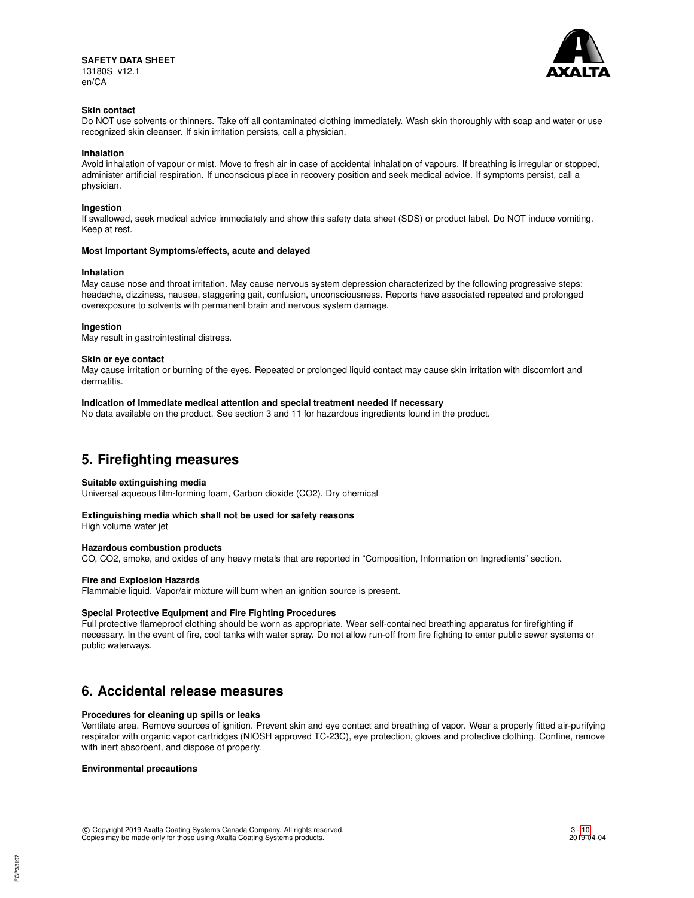

# **Skin contact**

Do NOT use solvents or thinners. Take off all contaminated clothing immediately. Wash skin thoroughly with soap and water or use recognized skin cleanser. If skin irritation persists, call a physician.

#### **Inhalation**

Avoid inhalation of vapour or mist. Move to fresh air in case of accidental inhalation of vapours. If breathing is irregular or stopped, administer artificial respiration. If unconscious place in recovery position and seek medical advice. If symptoms persist, call a physician.

### **Ingestion**

If swallowed, seek medical advice immediately and show this safety data sheet (SDS) or product label. Do NOT induce vomiting. Keep at rest.

#### **Most Important Symptoms/effects, acute and delayed**

#### **Inhalation**

May cause nose and throat irritation. May cause nervous system depression characterized by the following progressive steps: headache, dizziness, nausea, staggering gait, confusion, unconsciousness. Reports have associated repeated and prolonged overexposure to solvents with permanent brain and nervous system damage.

#### **Ingestion**

May result in gastrointestinal distress.

#### **Skin or eye contact**

May cause irritation or burning of the eyes. Repeated or prolonged liquid contact may cause skin irritation with discomfort and dermatitis.

#### **Indication of Immediate medical attention and special treatment needed if necessary**

No data available on the product. See section 3 and 11 for hazardous ingredients found in the product.

# **5. Firefighting measures**

### **Suitable extinguishing media**

Universal aqueous film-forming foam, Carbon dioxide (CO2), Dry chemical

## **Extinguishing media which shall not be used for safety reasons**

High volume water jet

## **Hazardous combustion products**

CO, CO2, smoke, and oxides of any heavy metals that are reported in "Composition, Information on Ingredients" section.

### **Fire and Explosion Hazards**

Flammable liquid. Vapor/air mixture will burn when an ignition source is present.

### **Special Protective Equipment and Fire Fighting Procedures**

Full protective flameproof clothing should be worn as appropriate. Wear self-contained breathing apparatus for firefighting if necessary. In the event of fire, cool tanks with water spray. Do not allow run-off from fire fighting to enter public sewer systems or public waterways.

# **6. Accidental release measures**

### **Procedures for cleaning up spills or leaks**

Ventilate area. Remove sources of ignition. Prevent skin and eye contact and breathing of vapor. Wear a properly fitted air-purifying respirator with organic vapor cartridges (NIOSH approved TC-23C), eye protection, gloves and protective clothing. Confine, remove with inert absorbent, and dispose of properly.

# **Environmental precautions**

FGP33197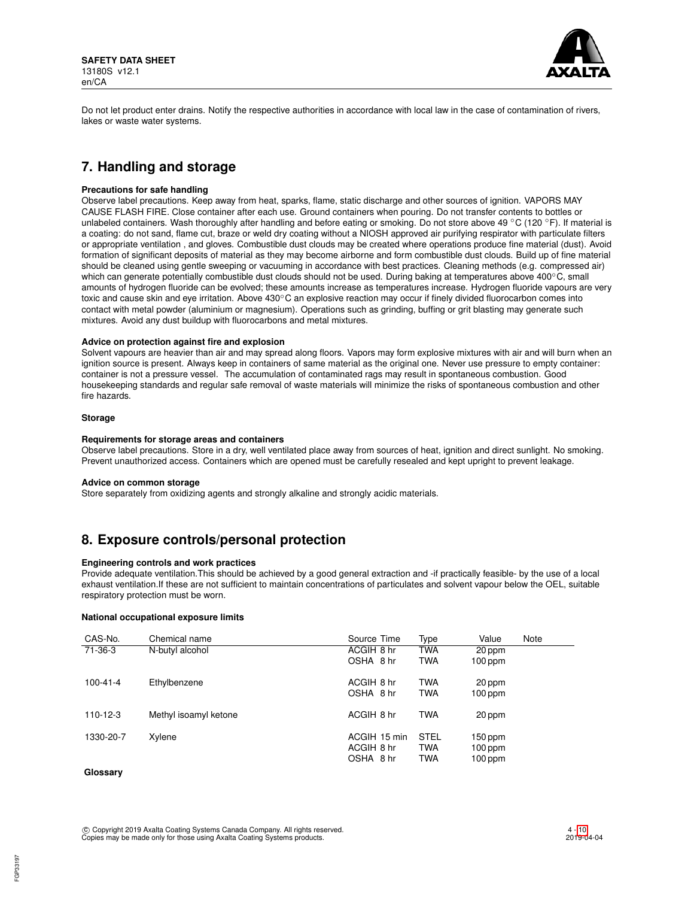

Do not let product enter drains. Notify the respective authorities in accordance with local law in the case of contamination of rivers, lakes or waste water systems.

# **7. Handling and storage**

# **Precautions for safe handling**

Observe label precautions. Keep away from heat, sparks, flame, static discharge and other sources of ignition. VAPORS MAY CAUSE FLASH FIRE. Close container after each use. Ground containers when pouring. Do not transfer contents to bottles or unlabeled containers. Wash thoroughly after handling and before eating or smoking. Do not store above 49 °C (120 °F). If material is a coating: do not sand, flame cut, braze or weld dry coating without a NIOSH approved air purifying respirator with particulate filters or appropriate ventilation , and gloves. Combustible dust clouds may be created where operations produce fine material (dust). Avoid formation of significant deposits of material as they may become airborne and form combustible dust clouds. Build up of fine material should be cleaned using gentle sweeping or vacuuming in accordance with best practices. Cleaning methods (e.g. compressed air) which can generate potentially combustible dust clouds should not be used. During baking at temperatures above 400℃, small amounts of hydrogen fluoride can be evolved; these amounts increase as temperatures increase. Hydrogen fluoride vapours are very toxic and cause skin and eye irritation. Above 430°C an explosive reaction may occur if finely divided fluorocarbon comes into contact with metal powder (aluminium or magnesium). Operations such as grinding, buffing or grit blasting may generate such mixtures. Avoid any dust buildup with fluorocarbons and metal mixtures.

# **Advice on protection against fire and explosion**

Solvent vapours are heavier than air and may spread along floors. Vapors may form explosive mixtures with air and will burn when an ignition source is present. Always keep in containers of same material as the original one. Never use pressure to empty container: container is not a pressure vessel. The accumulation of contaminated rags may result in spontaneous combustion. Good housekeeping standards and regular safe removal of waste materials will minimize the risks of spontaneous combustion and other fire hazards.

### **Storage**

### **Requirements for storage areas and containers**

Observe label precautions. Store in a dry, well ventilated place away from sources of heat, ignition and direct sunlight. No smoking. Prevent unauthorized access. Containers which are opened must be carefully resealed and kept upright to prevent leakage.

### **Advice on common storage**

Store separately from oxidizing agents and strongly alkaline and strongly acidic materials.

# **8. Exposure controls/personal protection**

# **Engineering controls and work practices**

Provide adequate ventilation.This should be achieved by a good general extraction and -if practically feasible- by the use of a local exhaust ventilation.If these are not sufficient to maintain concentrations of particulates and solvent vapour below the OEL, suitable respiratory protection must be worn.

### **National occupational exposure limits**

| CAS-No.        | Chemical name         | Source Time  | Type        | Value     | Note |
|----------------|-----------------------|--------------|-------------|-----------|------|
| 71-36-3        | N-butyl alcohol       | ACGIH 8 hr   | <b>TWA</b>  | 20 ppm    |      |
|                |                       | OSHA 8 hr    | <b>TWA</b>  | $100$ ppm |      |
| $100 - 41 - 4$ | Ethylbenzene          | ACGIH 8 hr   | <b>TWA</b>  | 20 ppm    |      |
|                |                       | OSHA 8 hr    | <b>TWA</b>  | $100$ ppm |      |
| $110 - 12 - 3$ | Methyl isoamyl ketone | ACGIH 8 hr   | <b>TWA</b>  | 20 ppm    |      |
| 1330-20-7      | Xylene                | ACGIH 15 min | <b>STEL</b> | $150$ ppm |      |
|                |                       | ACGIH 8 hr   | <b>TWA</b>  | $100$ ppm |      |
|                |                       | OSHA 8 hr    | <b>TWA</b>  | $100$ ppm |      |

# **Glossary**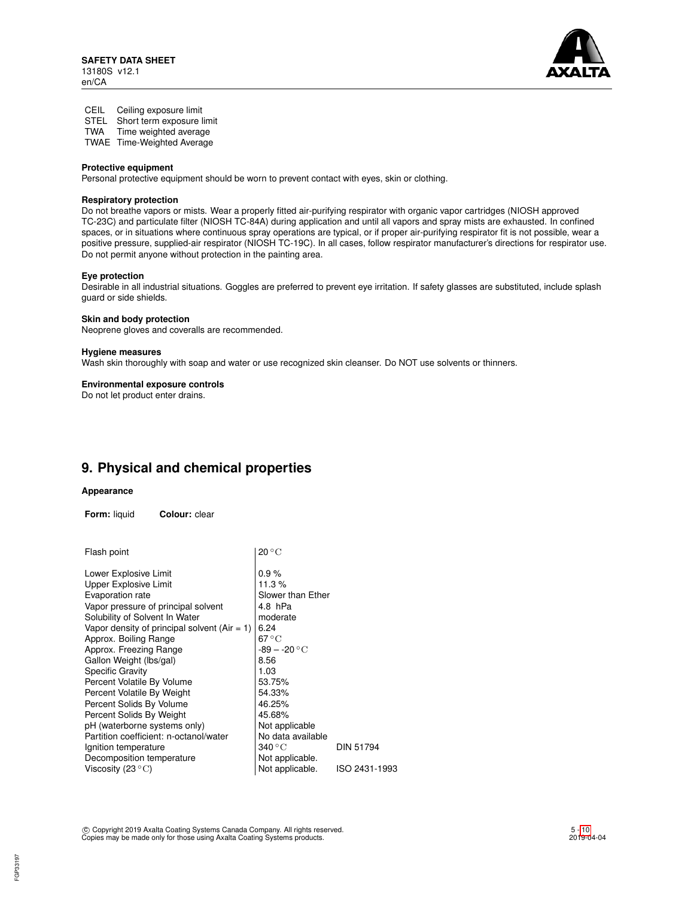

CEIL Ceiling exposure limit

STEL Short term exposure limit

TWA Time weighted average

TWAE Time-Weighted Average

# **Protective equipment**

Personal protective equipment should be worn to prevent contact with eyes, skin or clothing.

# **Respiratory protection**

Do not breathe vapors or mists. Wear a properly fitted air-purifying respirator with organic vapor cartridges (NIOSH approved TC-23C) and particulate filter (NIOSH TC-84A) during application and until all vapors and spray mists are exhausted. In confined spaces, or in situations where continuous spray operations are typical, or if proper air-purifying respirator fit is not possible, wear a positive pressure, supplied-air respirator (NIOSH TC-19C). In all cases, follow respirator manufacturer's directions for respirator use. Do not permit anyone without protection in the painting area.

### **Eye protection**

Desirable in all industrial situations. Goggles are preferred to prevent eye irritation. If safety glasses are substituted, include splash guard or side shields.

### **Skin and body protection**

Neoprene gloves and coveralls are recommended.

# **Hygiene measures**

Wash skin thoroughly with soap and water or use recognized skin cleanser. Do NOT use solvents or thinners.

## **Environmental exposure controls**

Do not let product enter drains.

# **9. Physical and chemical properties**

### **Appearance**

**Form:** liquid **Colour:** clear

| Flash point                                    | $20\,^{\circ}\mathrm{C}$  |                  |
|------------------------------------------------|---------------------------|------------------|
| Lower Explosive Limit                          | 0.9%                      |                  |
| Upper Explosive Limit                          | 11.3%                     |                  |
| Evaporation rate                               | Slower than Ether         |                  |
| Vapor pressure of principal solvent            | 4.8 hPa                   |                  |
| Solubility of Solvent In Water                 | moderate                  |                  |
| Vapor density of principal solvent $(Air = 1)$ | 6.24                      |                  |
| Approx. Boiling Range                          | 67 $\rm ^{\circ}C$        |                  |
| Approx. Freezing Range                         | $-89 - -20 °C$            |                  |
| Gallon Weight (lbs/gal)                        | 8.56                      |                  |
| <b>Specific Gravity</b>                        | 1.03                      |                  |
| Percent Volatile By Volume                     | 53.75%                    |                  |
| Percent Volatile By Weight                     | 54.33%                    |                  |
| Percent Solids By Volume                       | 46.25%                    |                  |
| Percent Solids By Weight                       | 45.68%                    |                  |
| pH (waterborne systems only)                   | Not applicable            |                  |
| Partition coefficient: n-octanol/water         | No data available         |                  |
| Ignition temperature                           | $340\,^{\circ}\mathrm{C}$ | <b>DIN 51794</b> |
| Decomposition temperature                      | Not applicable.           |                  |
| Viscosity (23 $\mathrm{^{\circ}C}$ )           | Not applicable.           | ISO 2431-1993    |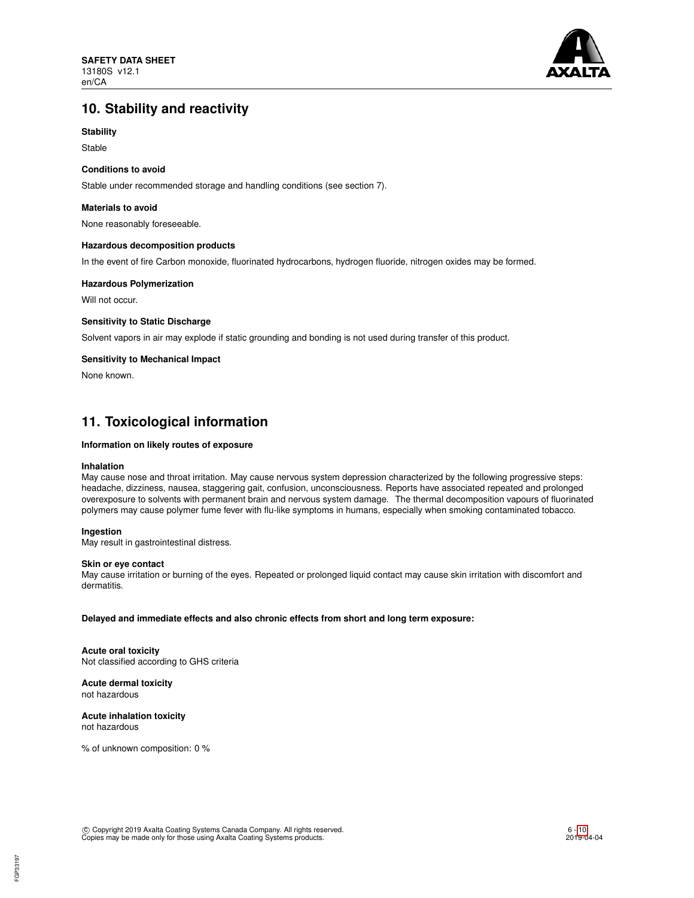

# **10. Stability and reactivity**

# **Stability**

Stable

# **Conditions to avoid**

Stable under recommended storage and handling conditions (see section 7).

## **Materials to avoid**

None reasonably foreseeable.

# **Hazardous decomposition products**

In the event of fire Carbon monoxide, fluorinated hydrocarbons, hydrogen fluoride, nitrogen oxides may be formed.

# **Hazardous Polymerization**

Will not occur.

# **Sensitivity to Static Discharge**

Solvent vapors in air may explode if static grounding and bonding is not used during transfer of this product.

# **Sensitivity to Mechanical Impact**

None known.

# **11. Toxicological information**

## **Information on likely routes of exposure**

### **Inhalation**

May cause nose and throat irritation. May cause nervous system depression characterized by the following progressive steps: headache, dizziness, nausea, staggering gait, confusion, unconsciousness. Reports have associated repeated and prolonged overexposure to solvents with permanent brain and nervous system damage. The thermal decomposition vapours of fluorinated polymers may cause polymer fume fever with flu-like symptoms in humans, especially when smoking contaminated tobacco.

# **Ingestion**

May result in gastrointestinal distress.

### **Skin or eye contact**

May cause irritation or burning of the eyes. Repeated or prolonged liquid contact may cause skin irritation with discomfort and dermatitis.

### **Delayed and immediate effects and also chronic effects from short and long term exposure:**

**Acute oral toxicity** Not classified according to GHS criteria

**Acute dermal toxicity** not hazardous

#### **Acute inhalation toxicity** not hazardous

% of unknown composition: 0 %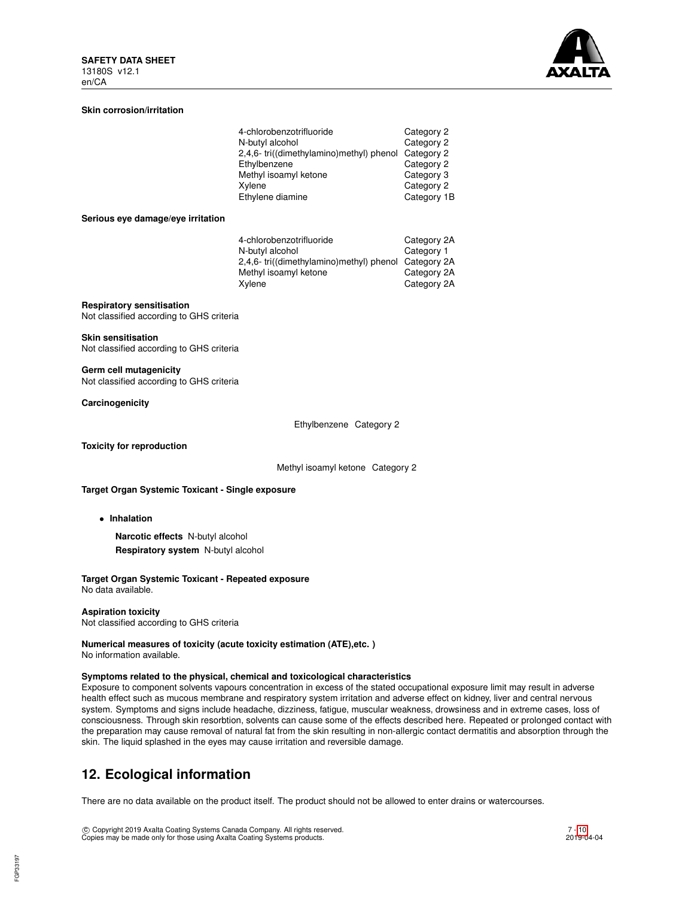

# **Skin corrosion/irritation**

| 4-chlorobenzotrifluoride                           | Category 2  |
|----------------------------------------------------|-------------|
| N-butyl alcohol                                    | Category 2  |
| 2,4,6-tri((dimethylamino)methyl) phenol Category 2 |             |
| Ethylbenzene                                       | Category 2  |
| Methyl isoamyl ketone                              | Category 3  |
| Xylene                                             | Category 2  |
| Ethylene diamine                                   | Category 1B |

#### **Serious eye damage/eye irritation**

| 4-chlorobenzotrifluoride                             | Category 2A |
|------------------------------------------------------|-------------|
| N-butyl alcohol                                      | Category 1  |
| 2,4,6- tri((dimethylamino)methyl) phenol Category 2A |             |
| Methyl isoamyl ketone                                | Category 2A |
| Xylene                                               | Category 2A |

# **Respiratory sensitisation**

Not classified according to GHS criteria

#### **Skin sensitisation**

Not classified according to GHS criteria

**Germ cell mutagenicity** Not classified according to GHS criteria

**Carcinogenicity**

Ethylbenzene Category 2

**Toxicity for reproduction**

Methyl isoamyl ketone Category 2

#### **Target Organ Systemic Toxicant - Single exposure**

• **Inhalation**

**Narcotic effects** N-butyl alcohol **Respiratory system** N-butyl alcohol

# **Target Organ Systemic Toxicant - Repeated exposure**

No data available.

# **Aspiration toxicity**

Not classified according to GHS criteria

### **Numerical measures of toxicity (acute toxicity estimation (ATE),etc. )** No information available.

#### **Symptoms related to the physical, chemical and toxicological characteristics**

Exposure to component solvents vapours concentration in excess of the stated occupational exposure limit may result in adverse health effect such as mucous membrane and respiratory system irritation and adverse effect on kidney, liver and central nervous system. Symptoms and signs include headache, dizziness, fatigue, muscular weakness, drowsiness and in extreme cases, loss of consciousness. Through skin resorbtion, solvents can cause some of the effects described here. Repeated or prolonged contact with the preparation may cause removal of natural fat from the skin resulting in non-allergic contact dermatitis and absorption through the skin. The liquid splashed in the eyes may cause irritation and reversible damage.

# **12. Ecological information**

There are no data available on the product itself. The product should not be allowed to enter drains or watercourses.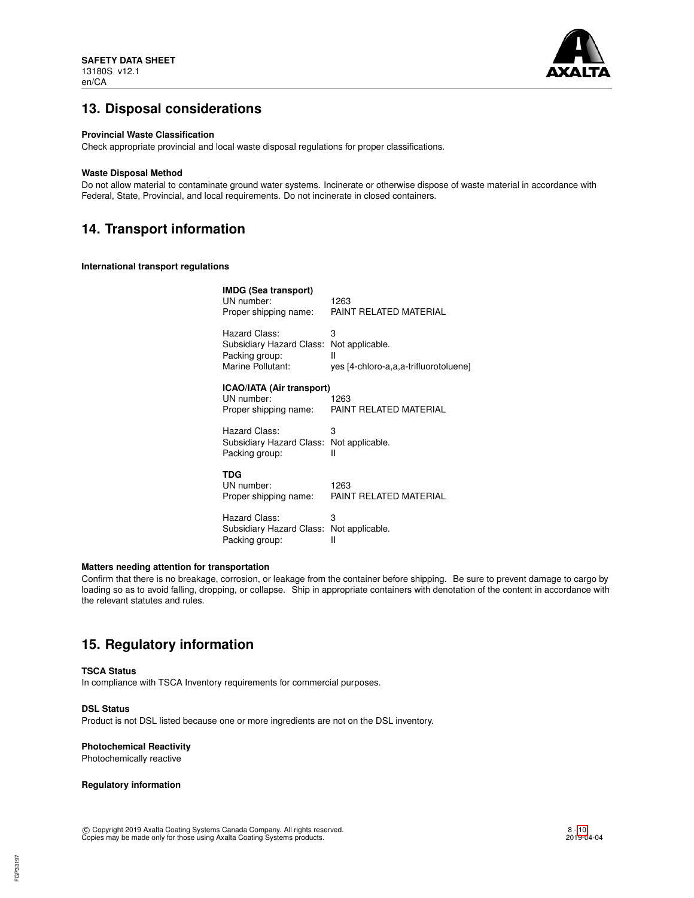

# **13. Disposal considerations**

### **Provincial Waste Classification**

Check appropriate provincial and local waste disposal regulations for proper classifications.

### **Waste Disposal Method**

Do not allow material to contaminate ground water systems. Incinerate or otherwise dispose of waste material in accordance with Federal, State, Provincial, and local requirements. Do not incinerate in closed containers.

# **14. Transport information**

**International transport regulations**

| <b>IMDG (Sea transport)</b><br>UN number:<br>Proper shipping name:               | 1263<br>PAINT RELATED MATERIAL                                     |
|----------------------------------------------------------------------------------|--------------------------------------------------------------------|
| Hazard Class:<br>Subsidiary Hazard Class:<br>Packing group:<br>Marine Pollutant: | 3<br>Not applicable.<br>н<br>yes [4-chloro-a,a,a-trifluorotoluene] |
| <b>ICAO/IATA (Air transport)</b><br>UN number:<br>Proper shipping name:          | 1263<br>PAINT RELATED MATERIAL                                     |
| Hazard Class:<br>Subsidiary Hazard Class:<br>Packing group:                      | 3<br>Not applicable.<br>Ш                                          |
| TDG<br>UN number:<br>Proper shipping name:                                       | 1263<br>PAINT RELATED MATERIAL                                     |
| Hazard Class:<br>Subsidiary Hazard Class:<br>Packing group:                      | 3<br>Not applicable.<br>Ш                                          |

### **Matters needing attention for transportation**

Confirm that there is no breakage, corrosion, or leakage from the container before shipping. Be sure to prevent damage to cargo by loading so as to avoid falling, dropping, or collapse. Ship in appropriate containers with denotation of the content in accordance with the relevant statutes and rules.

# **15. Regulatory information**

## **TSCA Status**

In compliance with TSCA Inventory requirements for commercial purposes.

# **DSL Status**

Product is not DSL listed because one or more ingredients are not on the DSL inventory.

# **Photochemical Reactivity**

Photochemically reactive

# **Regulatory information**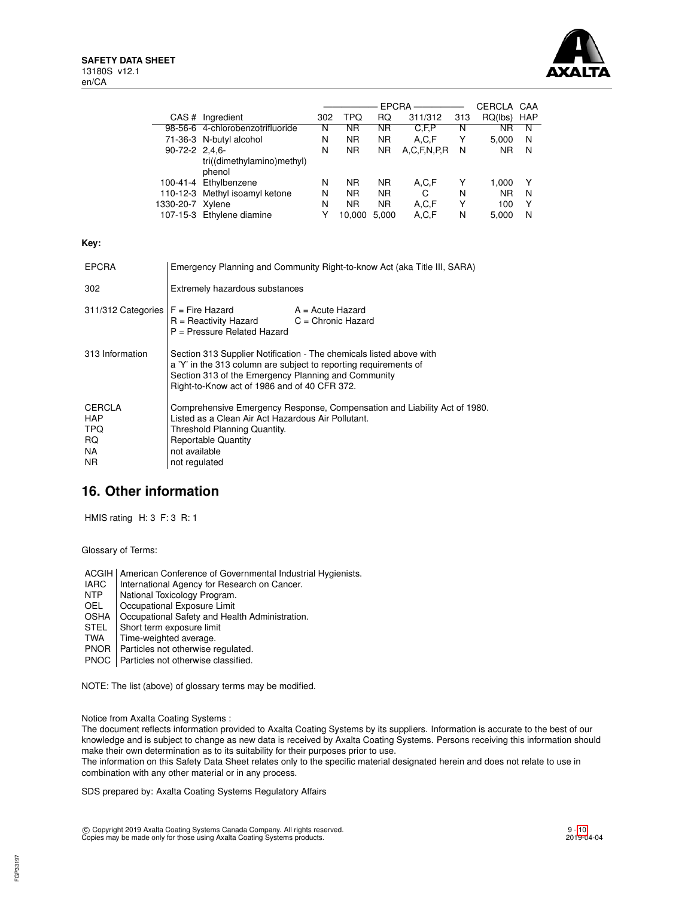

|                  |                                  |     |           | <b>EPCRA</b> |                  |     | CERCLA    | CAA        |
|------------------|----------------------------------|-----|-----------|--------------|------------------|-----|-----------|------------|
| CAS#             | Ingredient                       | 302 | TPQ       | RQ           | 311/312          | 313 | RQ(lbs)   | <b>HAP</b> |
|                  | 98-56-6 4-chlorobenzotrifluoride | N   | ΝR        | <b>NR</b>    | C.F.P            | N   | NR        | N          |
|                  | 71-36-3 N-butyl alcohol          | N   | <b>NR</b> | <b>NR</b>    | A.C.F            | Υ   | 5,000     | N          |
| $90-72-2$ 2.4.6- |                                  | Ν   | <b>NR</b> | <b>NR</b>    | A, C, F, N, P, R | N   | <b>NR</b> | N          |
|                  | tri((dimethylamino)methyl)       |     |           |              |                  |     |           |            |
|                  | phenol                           |     |           |              |                  |     |           |            |
|                  | 100-41-4 Ethylbenzene            | N   | ΝR        | <b>NR</b>    | A.C.F            | Y   | 1.000     | Y          |
|                  | 110-12-3 Methyl isoamyl ketone   | N   | <b>NR</b> | <b>NR</b>    | C                | N   | <b>NR</b> | N          |
| 1330-20-7 Xylene |                                  | N   | <b>NR</b> | <b>NR</b>    | A.C.F            | Υ   | 100       | Y          |
|                  | 107-15-3 Ethylene diamine        | Y   | 10.000    | 5.000        | A,C,F            | N   | 5.000     | N          |

**Key:**

| <b>EPCRA</b>                                                   | Emergency Planning and Community Right-to-know Act (aka Title III, SARA)                                                                                                                                                                       |                    |  |
|----------------------------------------------------------------|------------------------------------------------------------------------------------------------------------------------------------------------------------------------------------------------------------------------------------------------|--------------------|--|
| 302                                                            | Extremely hazardous substances                                                                                                                                                                                                                 |                    |  |
| $311/312$ Categories $F =$ Fire Hazard                         | $R =$ Reactivity Hazard $C =$ Chronic Hazard<br>$P =$ Pressure Related Hazard                                                                                                                                                                  | $A = Acute$ Hazard |  |
| 313 Information                                                | Section 313 Supplier Notification - The chemicals listed above with<br>a 'Y' in the 313 column are subject to reporting requirements of<br>Section 313 of the Emergency Planning and Community<br>Right-to-Know act of 1986 and of 40 CFR 372. |                    |  |
| <b>CERCLA</b><br><b>HAP</b><br><b>TPQ</b><br>RQ.<br>NA.<br>NR. | Comprehensive Emergency Response, Compensation and Liability Act of 1980.<br>Listed as a Clean Air Act Hazardous Air Pollutant.<br>Threshold Planning Quantity.<br><b>Reportable Quantity</b><br>not available<br>not regulated                |                    |  |

# **16. Other information**

HMIS rating H: 3 F: 3 R: 1

Glossary of Terms:

- ACGIH | American Conference of Governmental Industrial Hygienists.<br>
IARC | International Agency for Research on Cancer.
- International Agency for Research on Cancer.
- NTP National Toxicology Program.<br>OEL Occupational Exposure Limit
- OEL Cccupational Exposure Limit<br>OSHA Cccupational Safety and Hea
- Occupational Safety and Health Administration.
- STEL Short term exposure limit<br>TWA Time-weighted average.
- Time-weighted average.
- PNOR | Particles not otherwise regulated.
- PNOC | Particles not otherwise classified.

NOTE: The list (above) of glossary terms may be modified.

Notice from Axalta Coating Systems :

The document reflects information provided to Axalta Coating Systems by its suppliers. Information is accurate to the best of our knowledge and is subject to change as new data is received by Axalta Coating Systems. Persons receiving this information should make their own determination as to its suitability for their purposes prior to use.

The information on this Safety Data Sheet relates only to the specific material designated herein and does not relate to use in combination with any other material or in any process.

SDS prepared by: Axalta Coating Systems Regulatory Affairs